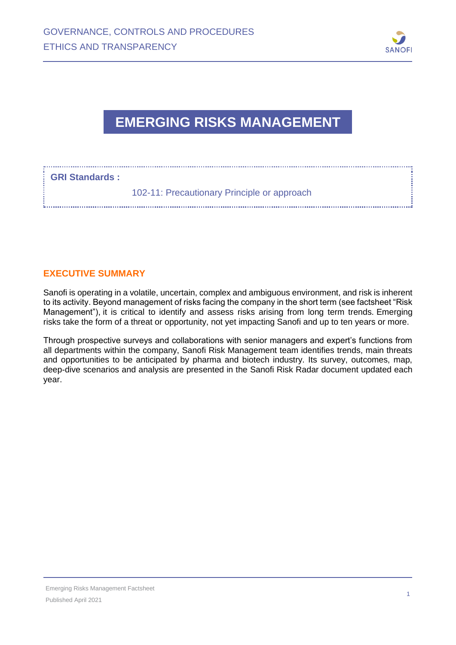

## **EMERGING RISKS MANAGEMENT**

## **GRI Standards :**

102-11: Precautionary Principle or approach

## **EXECUTIVE SUMMARY**

Sanofi is operating in a volatile, uncertain, complex and ambiguous environment, and risk is inherent to its activity. Beyond management of risks facing the company in the short term (see factsheet "Risk Management"), it is critical to identify and assess risks arising from long term trends. Emerging risks take the form of a threat or opportunity, not yet impacting Sanofi and up to ten years or more.

Through prospective surveys and collaborations with senior managers and expert's functions from all departments within the company, Sanofi Risk Management team identifies trends, main threats and opportunities to be anticipated by pharma and biotech industry. Its survey, outcomes, map, deep-dive scenarios and analysis are presented in the Sanofi Risk Radar document updated each year.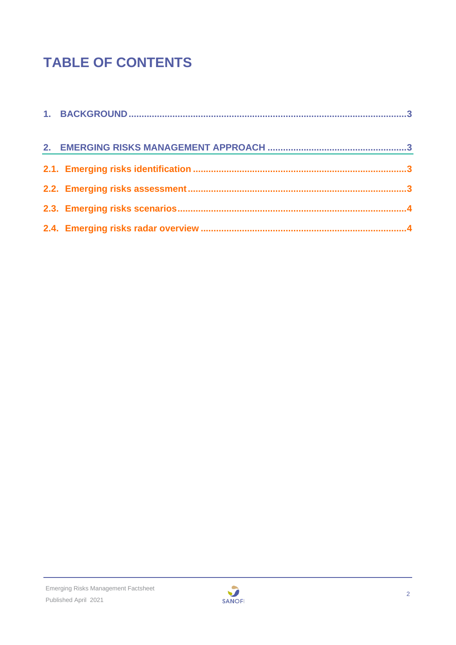# **TABLE OF CONTENTS**

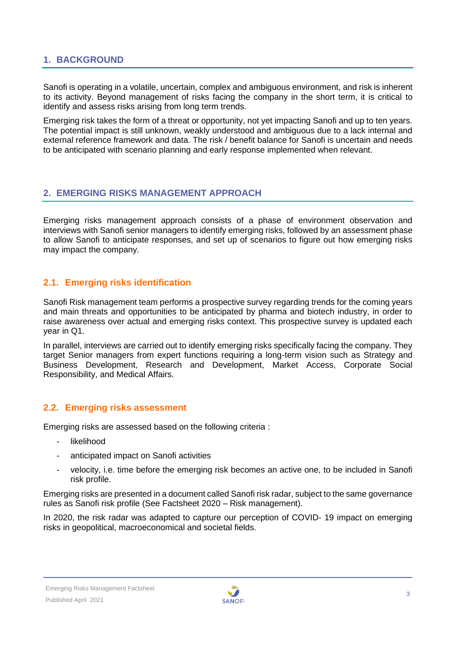## <span id="page-2-0"></span>**1. BACKGROUND**

Sanofi is operating in a volatile, uncertain, complex and ambiguous environment, and risk is inherent to its activity. Beyond management of risks facing the company in the short term, it is critical to identify and assess risks arising from long term trends.

Emerging risk takes the form of a threat or opportunity, not yet impacting Sanofi and up to ten years. The potential impact is still unknown, weakly understood and ambiguous due to a lack internal and external reference framework and data. The risk / benefit balance for Sanofi is uncertain and needs to be anticipated with scenario planning and early response implemented when relevant.

## <span id="page-2-1"></span>**2. EMERGING RISKS MANAGEMENT APPROACH**

Emerging risks management approach consists of a phase of environment observation and interviews with Sanofi senior managers to identify emerging risks, followed by an assessment phase to allow Sanofi to anticipate responses, and set up of scenarios to figure out how emerging risks may impact the company.

## <span id="page-2-2"></span>**2.1. Emerging risks identification**

Sanofi Risk management team performs a prospective survey regarding trends for the coming years and main threats and opportunities to be anticipated by pharma and biotech industry, in order to raise awareness over actual and emerging risks context. This prospective survey is updated each year in Q1.

In parallel, interviews are carried out to identify emerging risks specifically facing the company. They target Senior managers from expert functions requiring a long-term vision such as Strategy and Business Development, Research and Development, Market Access, Corporate Social Responsibility, and Medical Affairs.

## <span id="page-2-3"></span>**2.2. Emerging risks assessment**

Emerging risks are assessed based on the following criteria :

- likelihood
- anticipated impact on Sanofi activities
- velocity, i.e. time before the emerging risk becomes an active one, to be included in Sanofi risk profile.

Emerging risks are presented in a document called Sanofi risk radar, subject to the same governance rules as Sanofi risk profile (See Factsheet 2020 – Risk management).

In 2020, the risk radar was adapted to capture our perception of COVID- 19 impact on emerging risks in geopolitical, macroeconomical and societal fields.

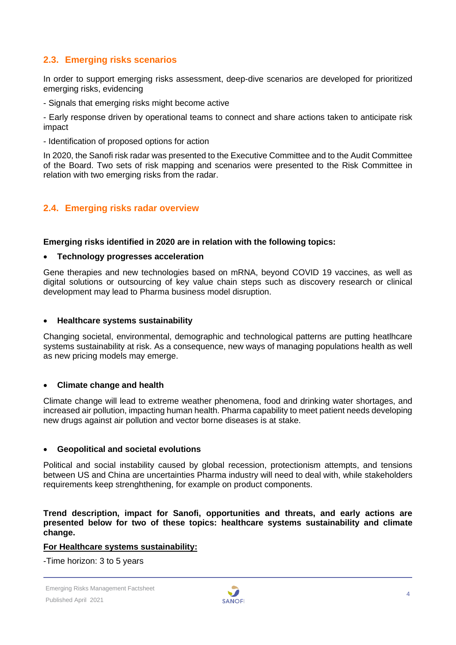## <span id="page-3-0"></span>**2.3. Emerging risks scenarios**

In order to support emerging risks assessment, deep-dive scenarios are developed for prioritized emerging risks, evidencing

- Signals that emerging risks might become active

- Early response driven by operational teams to connect and share actions taken to anticipate risk impact

- Identification of proposed options for action

In 2020, the Sanofi risk radar was presented to the Executive Committee and to the Audit Committee of the Board. Two sets of risk mapping and scenarios were presented to the Risk Committee in relation with two emerging risks from the radar.

## <span id="page-3-1"></span>**2.4. Emerging risks radar overview**

#### **Emerging risks identified in 2020 are in relation with the following topics:**

#### • **Technology progresses acceleration**

Gene therapies and new technologies based on mRNA, beyond COVID 19 vaccines, as well as digital solutions or outsourcing of key value chain steps such as discovery research or clinical development may lead to Pharma business model disruption.

#### • **Healthcare systems sustainability**

Changing societal, environmental, demographic and technological patterns are putting heatlhcare systems sustainability at risk. As a consequence, new ways of managing populations health as well as new pricing models may emerge.

#### • **Climate change and health**

Climate change will lead to extreme weather phenomena, food and drinking water shortages, and increased air pollution, impacting human health. Pharma capability to meet patient needs developing new drugs against air pollution and vector borne diseases is at stake.

#### • **Geopolitical and societal evolutions**

Political and social instability caused by global recession, protectionism attempts, and tensions between US and China are uncertainties Pharma industry will need to deal with, while stakeholders requirements keep strenghthening, for example on product components.

**Trend description, impact for Sanofi, opportunities and threats, and early actions are presented below for two of these topics: healthcare systems sustainability and climate change.** 

#### **For Healthcare systems sustainability:**

-Time horizon: 3 to 5 years

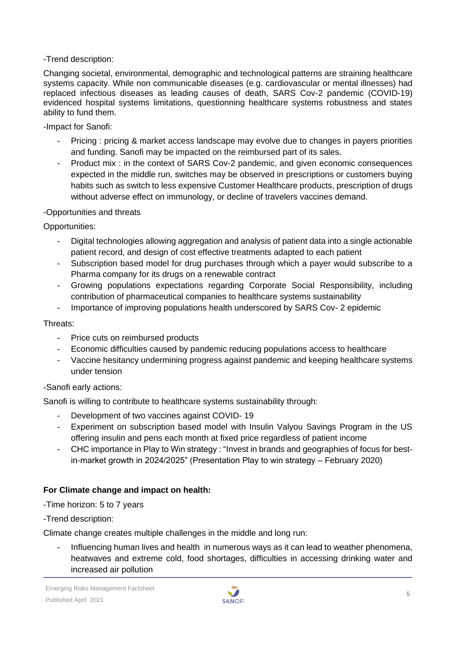## -Trend description:

Changing societal, environmental, demographic and technological patterns are straining healthcare systems capacity. While non communicable diseases (e.g. cardiovascular or mental illnesses) had replaced infectious diseases as leading causes of death, SARS Cov-2 pandemic (COVID-19) evidenced hospital systems limitations, questionning healthcare systems robustness and states ability to fund them.

-Impact for Sanofi:

- Pricing : pricing & market access landscape may evolve due to changes in payers priorities and funding. Sanofi may be impacted on the reimbursed part of its sales.
- Product mix : in the context of SARS Cov-2 pandemic, and given economic consequences expected in the middle run, switches may be observed in prescriptions or customers buying habits such as switch to less expensive Customer Healthcare products, prescription of drugs without adverse effect on immunology, or decline of travelers vaccines demand.

## -Opportunities and threats

Opportunities:

- Digital technologies allowing aggregation and analysis of patient data into a single actionable patient record, and design of cost effective treatments adapted to each patient
- Subscription based model for drug purchases through which a payer would subscribe to a Pharma company for its drugs on a renewable contract
- Growing populations expectations regarding Corporate Social Responsibility, including contribution of pharmaceutical companies to healthcare systems sustainability
- Importance of improving populations health underscored by SARS Cov- 2 epidemic

## Threats:

- Price cuts on reimbursed products
- Economic difficulties caused by pandemic reducing populations access to healthcare
- Vaccine hesitancy undermining progress against pandemic and keeping healthcare systems under tension

## -Sanofi early actions:

Sanofi is willing to contribute to healthcare systems sustainability through:

- Development of two vaccines against COVID-19
- Experiment on subscription based model with Insulin Valyou Savings Program in the US offering insulin and pens each month at fixed price regardless of patient income
- CHC importance in Play to Win strategy : "Invest in brands and geographies of focus for bestin-market growth in 2024/2025" (Presentation Play to win strategy – February 2020)

## **For Climate change and impact on health:**

-Time horizon: 5 to 7 years

-Trend description:

Climate change creates multiple challenges in the middle and long run:

- Influencing human lives and health in numerous ways as it can lead to weather phenomena, heatwaves and extreme cold, food shortages, difficulties in accessing drinking water and increased air pollution